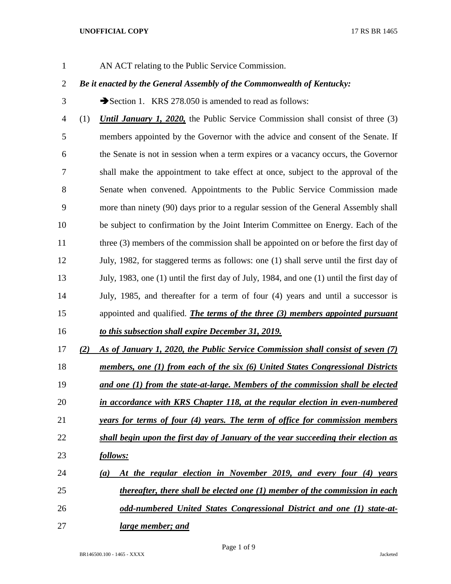AN ACT relating to the Public Service Commission.

# *Be it enacted by the General Assembly of the Commonwealth of Kentucky:*

3 Section 1. KRS 278.050 is amended to read as follows:

 (1) *Until January 1, 2020,* the Public Service Commission shall consist of three (3) members appointed by the Governor with the advice and consent of the Senate. If the Senate is not in session when a term expires or a vacancy occurs, the Governor shall make the appointment to take effect at once, subject to the approval of the Senate when convened. Appointments to the Public Service Commission made more than ninety (90) days prior to a regular session of the General Assembly shall be subject to confirmation by the Joint Interim Committee on Energy. Each of the 11 three (3) members of the commission shall be appointed on or before the first day of July, 1982, for staggered terms as follows: one (1) shall serve until the first day of July, 1983, one (1) until the first day of July, 1984, and one (1) until the first day of July, 1985, and thereafter for a term of four (4) years and until a successor is appointed and qualified. *The terms of the three (3) members appointed pursuant to this subsection shall expire December 31, 2019.*

- 
- *(2) As of January 1, 2020, the Public Service Commission shall consist of seven (7)*
- *members, one (1) from each of the six (6) United States Congressional Districts*
- *and one (1) from the state-at-large. Members of the commission shall be elected*
- *in accordance with KRS Chapter 118, at the regular election in even-numbered*
- *years for terms of four (4) years. The term of office for commission members*
- *shall begin upon the first day of January of the year succeeding their election as follows:*
- *(a) At the regular election in November 2019, and every four (4) years thereafter, there shall be elected one (1) member of the commission in each odd-numbered United States Congressional District and one (1) state-at-*
- *large member; and*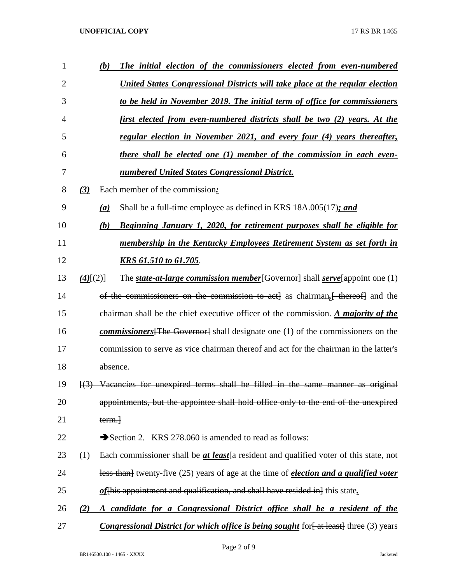| 1  |                  | (b)      | The initial election of the commissioners elected from even-numbered                                      |
|----|------------------|----------|-----------------------------------------------------------------------------------------------------------|
| 2  |                  |          | United States Congressional Districts will take place at the regular election                             |
| 3  |                  |          | to be held in November 2019. The initial term of office for commissioners                                 |
| 4  |                  |          | first elected from even-numbered districts shall be two (2) years. At the                                 |
| 5  |                  |          | regular election in November 2021, and every four (4) years thereafter,                                   |
| 6  |                  |          | there shall be elected one (1) member of the commission in each even-                                     |
| 7  |                  |          | numbered United States Congressional District.                                                            |
| 8  | $\left(3\right)$ |          | Each member of the commission:                                                                            |
| 9  |                  | (a)      | Shall be a full-time employee as defined in KRS 18A.005(17); and                                          |
| 10 |                  | (b)      | Beginning January 1, 2020, for retirement purposes shall be eligible for                                  |
| 11 |                  |          | membership in the Kentucky Employees Retirement System as set forth in                                    |
| 12 |                  |          | <u>KRS 61.510 to 61.705.</u>                                                                              |
| 13 | $(4)$ [ $(2)$ ]  |          | The state-at-large commission member [Governor] shall serve [appoint one $(1)$                            |
| 14 |                  |          | of the commissioners on the commission to act as chairman, thereof and the                                |
| 15 |                  |          | chairman shall be the chief executive officer of the commission. A <i>majority of the</i>                 |
| 16 |                  |          | <b>commissioners</b> The Governor shall designate one (1) of the commissioners on the                     |
| 17 |                  |          | commission to serve as vice chairman thereof and act for the chairman in the latter's                     |
| 18 |                  | absence. |                                                                                                           |
| 19 |                  |          | $\left[\frac{3}{2}\right]$ Vacancies for unexpired terms shall be filled in the same manner as original   |
| 20 |                  |          | appointments, but the appointee shall hold office only to the end of the unexpired                        |
| 21 |                  | term.    |                                                                                                           |
| 22 |                  |          | Section 2. KRS 278.060 is amended to read as follows:                                                     |
| 23 | (1)              |          | Each commissioner shall be <i>at least</i> [a resident and qualified voter of this state, not             |
| 24 |                  |          | less than <sup>}</sup> twenty-five (25) years of age at the time of <i>election and a qualified voter</i> |
| 25 |                  |          | of his appointment and qualification, and shall have resided in lthis state.                              |
| 26 | (2)              |          | A candidate for a Congressional District office shall be a resident of the                                |
| 27 |                  |          | <b>Congressional District for which office is being sought</b> for fat least three (3) years              |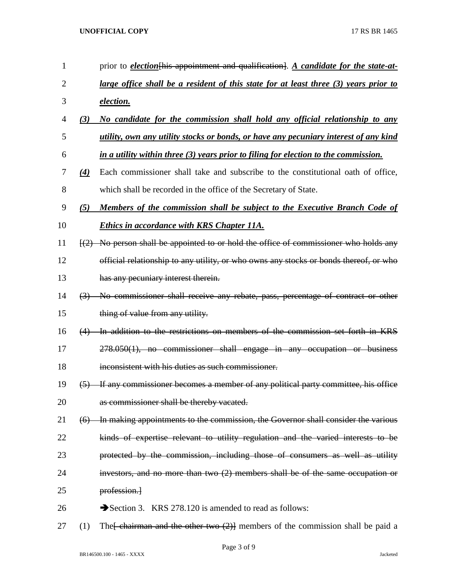| $\mathbf{1}$ |                   | prior to <i>election</i> this appointment and qualification. A candidate for the state-at-                  |
|--------------|-------------------|-------------------------------------------------------------------------------------------------------------|
| 2            |                   | large office shall be a resident of this state for at least three (3) years prior to                        |
| 3            |                   | election.                                                                                                   |
| 4            | (3)               | No candidate for the commission shall hold any official relationship to any                                 |
| 5            |                   | utility, own any utility stocks or bonds, or have any pecuniary interest of any kind                        |
| 6            |                   | in a utility within three (3) years prior to filing for election to the commission.                         |
| 7            | $\left( 4\right)$ | Each commissioner shall take and subscribe to the constitutional oath of office,                            |
| 8            |                   | which shall be recorded in the office of the Secretary of State.                                            |
| 9            | (5)               | Members of the commission shall be subject to the Executive Branch Code of                                  |
| 10           |                   | <b>Ethics in accordance with KRS Chapter 11A.</b>                                                           |
| 11           |                   | $\left(\frac{2}{2}\right)$ No person shall be appointed to or hold the office of commissioner who holds any |
| 12           |                   | official relationship to any utility, or who owns any stocks or bonds thereof, or who                       |
| 13           |                   | has any pecuniary interest therein.                                                                         |
| 14           |                   | (3) No commissioner shall receive any rebate, pass, percentage of contract or other                         |
| 15           |                   | thing of value from any utility.                                                                            |
| 16           | (4)               | In addition to the restrictions on members of the commission set forth in KRS                               |
| 17           |                   | 278.050(1), no commissioner shall engage in any occupation or business                                      |
| 18           |                   | inconsistent with his duties as such commissioner.                                                          |
| 19           | $\left(5\right)$  | If any commissioner becomes a member of any political party committee, his office                           |
| 20           |                   | as commissioner shall be thereby vacated.                                                                   |
| 21           | (6)               | In making appointments to the commission, the Governor shall consider the various                           |
| 22           |                   | kinds of expertise relevant to utility regulation and the varied interests to be                            |
| 23           |                   | protected by the commission, including those of consumers as well as utility                                |
| 24           |                   | investors, and no more than two $(2)$ members shall be of the same occupation or                            |
| 25           |                   | profession.                                                                                                 |
| 26           |                   | Section 3. KRS 278.120 is amended to read as follows:                                                       |
|              |                   |                                                                                                             |

27 (1) The  $\left\{\frac{\text{ehairman and the other two (2)}\right\}}\right\}$  members of the commission shall be paid a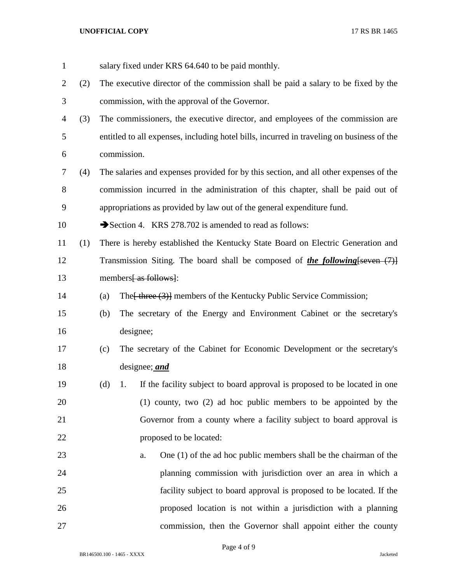| $\mathbf{1}$ |     |     | salary fixed under KRS 64.640 to be paid monthly.                                         |
|--------------|-----|-----|-------------------------------------------------------------------------------------------|
| 2            | (2) |     | The executive director of the commission shall be paid a salary to be fixed by the        |
| 3            |     |     | commission, with the approval of the Governor.                                            |
| 4            | (3) |     | The commissioners, the executive director, and employees of the commission are            |
| 5            |     |     | entitled to all expenses, including hotel bills, incurred in traveling on business of the |
| 6            |     |     | commission.                                                                               |
| 7            | (4) |     | The salaries and expenses provided for by this section, and all other expenses of the     |
| 8            |     |     | commission incurred in the administration of this chapter, shall be paid out of           |
| 9            |     |     | appropriations as provided by law out of the general expenditure fund.                    |
| 10           |     |     | Section 4. KRS 278.702 is amended to read as follows:                                     |
| 11           | (1) |     | There is hereby established the Kentucky State Board on Electric Generation and           |
| 12           |     |     | Transmission Siting. The board shall be composed of <i>the following</i> [seven $(7)$ ]   |
| 13           |     |     | members [as follows]:                                                                     |
| 14           |     | (a) | The [ three (3)] members of the Kentucky Public Service Commission;                       |
| 15           |     | (b) | The secretary of the Energy and Environment Cabinet or the secretary's                    |
| 16           |     |     | designee;                                                                                 |
| 17           |     | (c) | The secretary of the Cabinet for Economic Development or the secretary's                  |
| 18           |     |     | designee; <i>and</i>                                                                      |
| 19           |     | (d) | If the facility subject to board approval is proposed to be located in one<br>1.          |
| 20           |     |     | (1) county, two (2) ad hoc public members to be appointed by the                          |
| 21           |     |     | Governor from a county where a facility subject to board approval is                      |
| 22           |     |     | proposed to be located:                                                                   |
| 23           |     |     | One (1) of the ad hoc public members shall be the chairman of the<br>a.                   |
| 24           |     |     | planning commission with jurisdiction over an area in which a                             |
| 25           |     |     | facility subject to board approval is proposed to be located. If the                      |
| 26           |     |     | proposed location is not within a jurisdiction with a planning                            |
| 27           |     |     | commission, then the Governor shall appoint either the county                             |

Page 4 of 9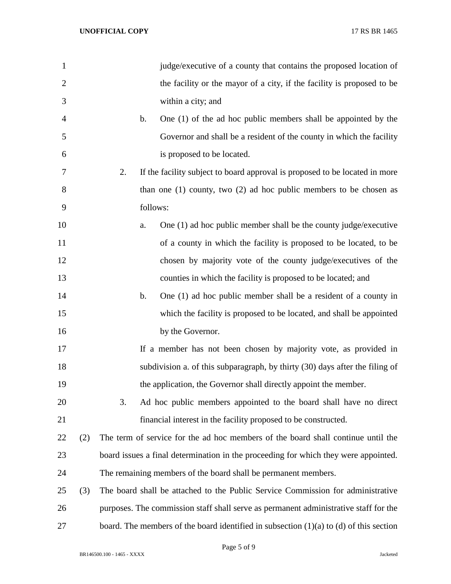| $\mathbf{1}$   |     | judge/executive of a county that contains the proposed location of                         |
|----------------|-----|--------------------------------------------------------------------------------------------|
| $\overline{2}$ |     | the facility or the mayor of a city, if the facility is proposed to be                     |
| 3              |     | within a city; and                                                                         |
| 4              |     | One (1) of the ad hoc public members shall be appointed by the<br>$\mathbf b$ .            |
| 5              |     | Governor and shall be a resident of the county in which the facility                       |
| 6              |     | is proposed to be located.                                                                 |
| 7              |     | 2.<br>If the facility subject to board approval is proposed to be located in more          |
| 8              |     | than one $(1)$ county, two $(2)$ ad hoc public members to be chosen as                     |
| 9              |     | follows:                                                                                   |
| 10             |     | One $(1)$ ad hoc public member shall be the county judge/executive<br>a.                   |
| 11             |     | of a county in which the facility is proposed to be located, to be                         |
| 12             |     | chosen by majority vote of the county judge/executives of the                              |
| 13             |     | counties in which the facility is proposed to be located; and                              |
| 14             |     | One (1) ad hoc public member shall be a resident of a county in<br>$\mathbf b$ .           |
| 15             |     | which the facility is proposed to be located, and shall be appointed                       |
| 16             |     | by the Governor.                                                                           |
| 17             |     | If a member has not been chosen by majority vote, as provided in                           |
| 18             |     | subdivision a. of this subparagraph, by thirty (30) days after the filing of               |
| 19             |     | the application, the Governor shall directly appoint the member.                           |
| 20             |     | 3.<br>Ad hoc public members appointed to the board shall have no direct                    |
| 21             |     | financial interest in the facility proposed to be constructed.                             |
| 22             | (2) | The term of service for the ad hoc members of the board shall continue until the           |
| 23             |     | board issues a final determination in the proceeding for which they were appointed.        |
| 24             |     | The remaining members of the board shall be permanent members.                             |
| 25             | (3) | The board shall be attached to the Public Service Commission for administrative            |
| 26             |     | purposes. The commission staff shall serve as permanent administrative staff for the       |
| 27             |     | board. The members of the board identified in subsection $(1)(a)$ to $(d)$ of this section |

Page 5 of 9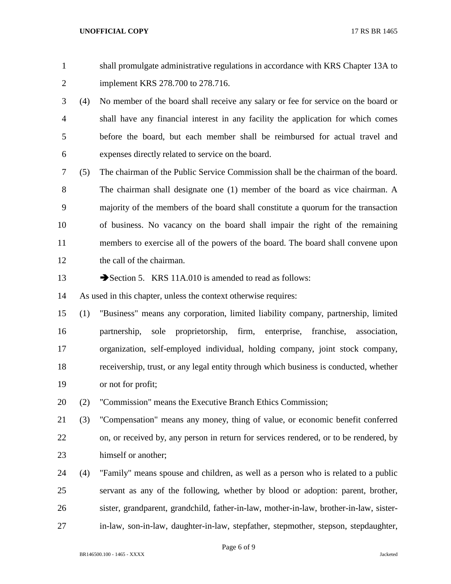shall promulgate administrative regulations in accordance with KRS Chapter 13A to implement KRS 278.700 to 278.716.

 (4) No member of the board shall receive any salary or fee for service on the board or shall have any financial interest in any facility the application for which comes before the board, but each member shall be reimbursed for actual travel and expenses directly related to service on the board.

 (5) The chairman of the Public Service Commission shall be the chairman of the board. The chairman shall designate one (1) member of the board as vice chairman. A majority of the members of the board shall constitute a quorum for the transaction of business. No vacancy on the board shall impair the right of the remaining members to exercise all of the powers of the board. The board shall convene upon the call of the chairman.

13 Section 5. KRS 11A.010 is amended to read as follows:

As used in this chapter, unless the context otherwise requires:

 (1) "Business" means any corporation, limited liability company, partnership, limited partnership, sole proprietorship, firm, enterprise, franchise, association, organization, self-employed individual, holding company, joint stock company, receivership, trust, or any legal entity through which business is conducted, whether or not for profit;

(2) "Commission" means the Executive Branch Ethics Commission;

 (3) "Compensation" means any money, thing of value, or economic benefit conferred on, or received by, any person in return for services rendered, or to be rendered, by 23 himself or another:

 (4) "Family" means spouse and children, as well as a person who is related to a public servant as any of the following, whether by blood or adoption: parent, brother, sister, grandparent, grandchild, father-in-law, mother-in-law, brother-in-law, sister-in-law, son-in-law, daughter-in-law, stepfather, stepmother, stepson, stepdaughter,

Page 6 of 9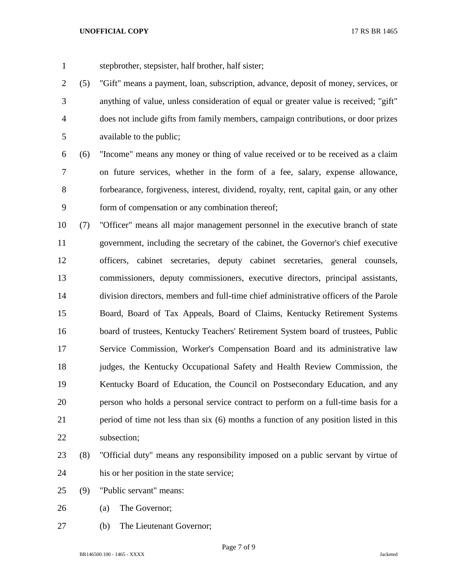stepbrother, stepsister, half brother, half sister;

 (5) "Gift" means a payment, loan, subscription, advance, deposit of money, services, or anything of value, unless consideration of equal or greater value is received; "gift" does not include gifts from family members, campaign contributions, or door prizes available to the public;

 (6) "Income" means any money or thing of value received or to be received as a claim on future services, whether in the form of a fee, salary, expense allowance, forbearance, forgiveness, interest, dividend, royalty, rent, capital gain, or any other form of compensation or any combination thereof;

 (7) "Officer" means all major management personnel in the executive branch of state government, including the secretary of the cabinet, the Governor's chief executive officers, cabinet secretaries, deputy cabinet secretaries, general counsels, commissioners, deputy commissioners, executive directors, principal assistants, division directors, members and full-time chief administrative officers of the Parole Board, Board of Tax Appeals, Board of Claims, Kentucky Retirement Systems board of trustees, Kentucky Teachers' Retirement System board of trustees, Public Service Commission, Worker's Compensation Board and its administrative law judges, the Kentucky Occupational Safety and Health Review Commission, the Kentucky Board of Education, the Council on Postsecondary Education, and any person who holds a personal service contract to perform on a full-time basis for a period of time not less than six (6) months a function of any position listed in this subsection;

- (8) "Official duty" means any responsibility imposed on a public servant by virtue of his or her position in the state service;
- (9) "Public servant" means:
- (a) The Governor;
- (b) The Lieutenant Governor;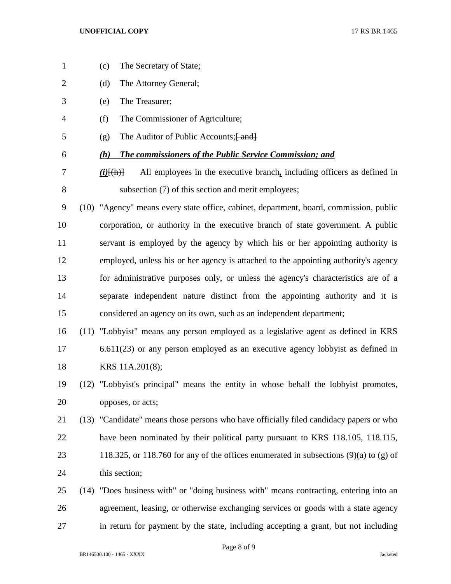(c) The Secretary of State;

- (d) The Attorney General; (e) The Treasurer; (f) The Commissioner of Agriculture; 5 (g) The Auditor of Public Accounts;  $\{$ and $\}$  *(h) The commissioners of the Public Service Commission; and (i)*[(h)] All employees in the executive branch*,* including officers as defined in subsection (7) of this section and merit employees; (10) "Agency" means every state office, cabinet, department, board, commission, public corporation, or authority in the executive branch of state government. A public servant is employed by the agency by which his or her appointing authority is employed, unless his or her agency is attached to the appointing authority's agency for administrative purposes only, or unless the agency's characteristics are of a separate independent nature distinct from the appointing authority and it is considered an agency on its own, such as an independent department; (11) "Lobbyist" means any person employed as a legislative agent as defined in KRS 6.611(23) or any person employed as an executive agency lobbyist as defined in KRS 11A.201(8); (12) "Lobbyist's principal" means the entity in whose behalf the lobbyist promotes, opposes, or acts; (13) "Candidate" means those persons who have officially filed candidacy papers or who have been nominated by their political party pursuant to KRS 118.105, 118.115, 118.325, or 118.760 for any of the offices enumerated in subsections (9)(a) to (g) of this section; (14) "Does business with" or "doing business with" means contracting, entering into an agreement, leasing, or otherwise exchanging services or goods with a state agency
	-

in return for payment by the state, including accepting a grant, but not including